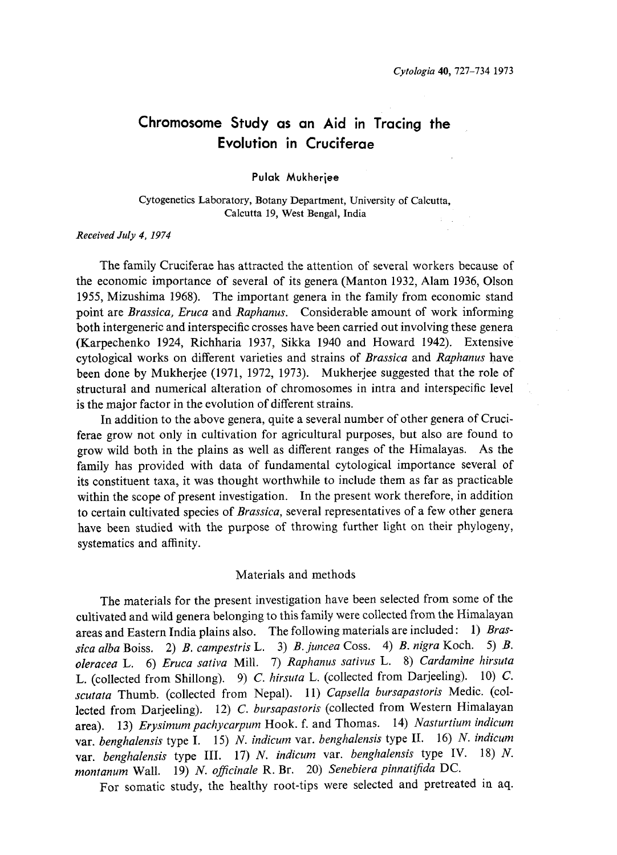# Chromosome Study as an Aid in Tracing the Evolution in Cruciferae

Pulak Mukherjee

Cytogenetics Laboratory, Botany Department, University of Calcutta, Calcutta 19, West Bengal, India

## Received July 4, 1974

The family Cruciferae has attracted the attention of several workers because of the economic importance of several of its genera (Manton 1932, Alam 1936, Olson 1955, Mizushima 1968). The important genera in the family from economic stand point are Brassica, Eruca and Raphanus. Considerable amount of work informing both intergeneric and interspecific crosses have been carried out involving these genera (Karpechenko 1924, Richharia 1937, Sikka 1940 and Howard 1942). Extensive cytological works on different varieties and strains of Brassica and Raphanus have been done by Mukherjee (1971, 1972, 1973). Mukherjee suggested that the role of structural and numerical alteration of chromosomes in intra and interspecific level is the major factor in the evolution of different strains.

In addition to the above genera, quite a several number of other genera of Cruci ferae grow not only in cultivation for agricultural purposes, but also are found to grow wild both in the plains as well as different ranges of the Himalayas. As the family has provided with data of fundamental cytological importance several of its constituent taxa, it was thought worthwhile to include them as far as practicable within the scope of present investigation. In the present work therefore, in addition to certain cultivated species of Brassica, several representatives of a few other genera have been studied with the purpose of throwing further light on their phylogeny, systematics and affinity.

## Materials and methods

The materials for the present investigation have been selected from some of the cultivated and wild genera belonging to this family were collected from the Himalayan areas and Eastern India plains also. The following materials are included: 1) Brassica alba Boiss. 2) B. campestris L. 3) B. juncea Coss. 4) B. nigra Koch. 5) B. oleracea L. 6) Eruca sativa Mill. 7) Raphanus sativus L. 8) Cardamine hirsuta L. (collected from Shillong). 9) C. hirsuta L. (collected from Darjeeling). 10) C. scutata Thumb. (collected from Nepal). 11) Capsella bursapastoris Medic. (collected from Darjeeling). 12) C. bursapastoris (collected from Western Himalayan area). 13) Erysimum pachycarpum Hook. f. and Thomas. 14) Nasturtium indicum var. benghalensis type I. 15) N. indicum var. benghalensis type II. 16) N. indicum var. benghalensis type III. 17) N. indicum var. benghalensis type IV. 18) N. montanum Wall. 19) N. officinale R. Br. 20) Senebiera pinnatifida DC.

For somatic study, the healthy root-tips were selected and pretreated in aq.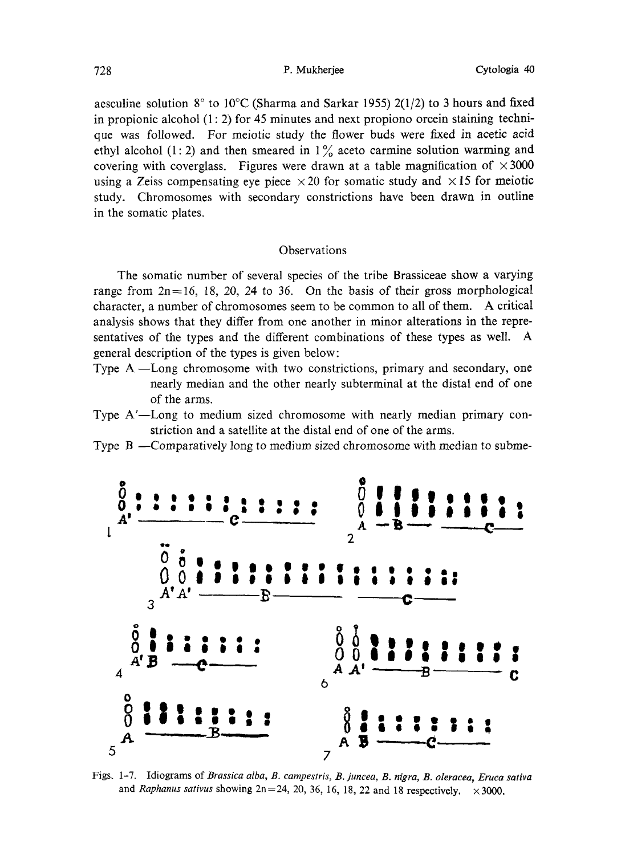aesculine solution 8° to 10°C (Sharma and Sarkar 1955) 2(1/2) to 3 hours and fixed in propionic alcohol  $(1: 2)$  for 45 minutes and next propiono orcein staining technique was followed. For meiotic study the flower buds were fixed in acetic acid ethyl alcohol (1: 2) and then smeared in  $1\%$  aceto carmine solution warming and covering with coverglass. Figures were drawn at a table magnification of  $\times 3000$ using a Zeiss compensating eye piece  $\times$  20 for somatic study and  $\times$  15 for meiotic study. Chromosomes with secondary constrictions have been drawn in outline in the somatic plates.

## **Observations**

The somatic number of several species of the tribe Brassiceae show a varying range from  $2n=16$ , 18, 20, 24 to 36. On the basis of their gross morphological character, a number of chromosomes seem to be common to all of them. A critical analysis shows that they differ from one another in minor alterations in the repre sentatives of the types and the different combinations of these types as well. A general description of the types is given below:

- Type A-Long chromosome with two constrictions, primary and secondary, one nearly median and the other nearly subterminal at the distal end of one of the arms.
- Type A'-Long to medium sized chromosome with nearly median primary con striction and a satellite at the distal end of one of the arms.
- Type  $B$  -Comparatively long to medium sized chromosome with median to subme-



Figs. 1-7. Idiograms of Brassica alba, B. campestris, B. juncea, B. nigra, B. oleracea, Eruca sativa and Raphanus sativus showing  $2n=24$ , 20, 36, 16, 18, 22 and 18 respectively.  $\times$  3000.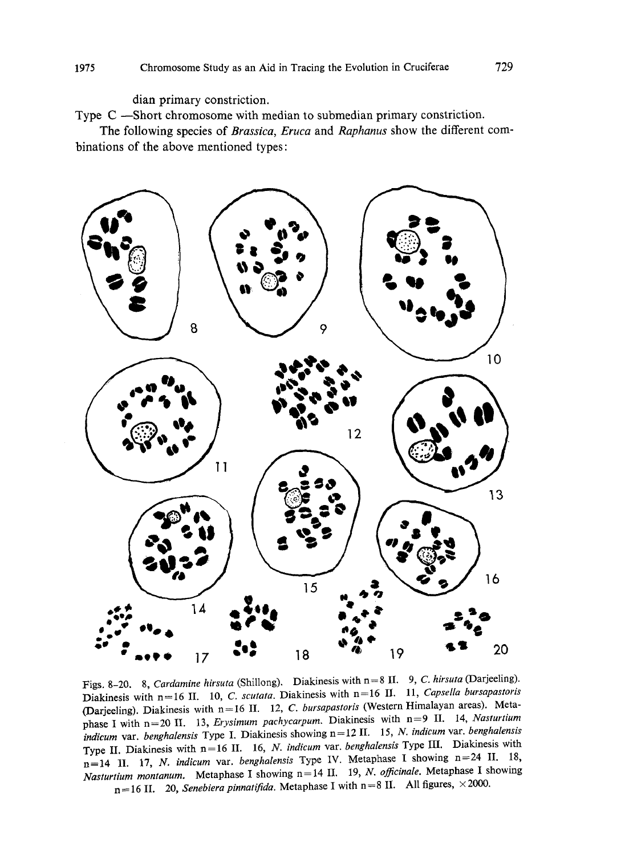dian primary constriction.

Type C-Short chromosome with median to submedian primary constriction.

The following species of Brassica, Eruca and Raphanus show the different combinations of the above mentioned types:



Figs. 8-20. 8, Cardamine hirsuta (Shillong). Diakinesis with n=8 II. 9, C. hirsuta (Darjeeling). Diakinesis with n=16 II. 10, C. scutata. Diakinesis with n=16 II. 11, Capsella bursapastoris (Darjeeling). Diakinesis with  $n=16$  II. 12, C. bursapastoris (Western Himalayan areas). Metaphase I with n=20 II. 13, Erysimum pachycarpum. Diakinesis with n=9 II. 14, Nasturtium indicum var. benghalensis Type I. Diakinesis showing n=12 II. 15, N. indicum var. benghalensis Type II. Diakinesis with  $n=16$  II. 16, N. indicum var. benghalensis Type III. Diakinesis with  $n=14$  II. 17, N. indicum var. benghalensis Type IV. Metaphase I showing  $n=24$  II. 18, Nasturtium montanum. Metaphase I showing  $n=14$  II. 19, N. officinale. Metaphase I showing  $n=16$  II. 20, Senebiera pinnatifida. Metaphase I with  $n=8$  II. All figures,  $\times$  2000.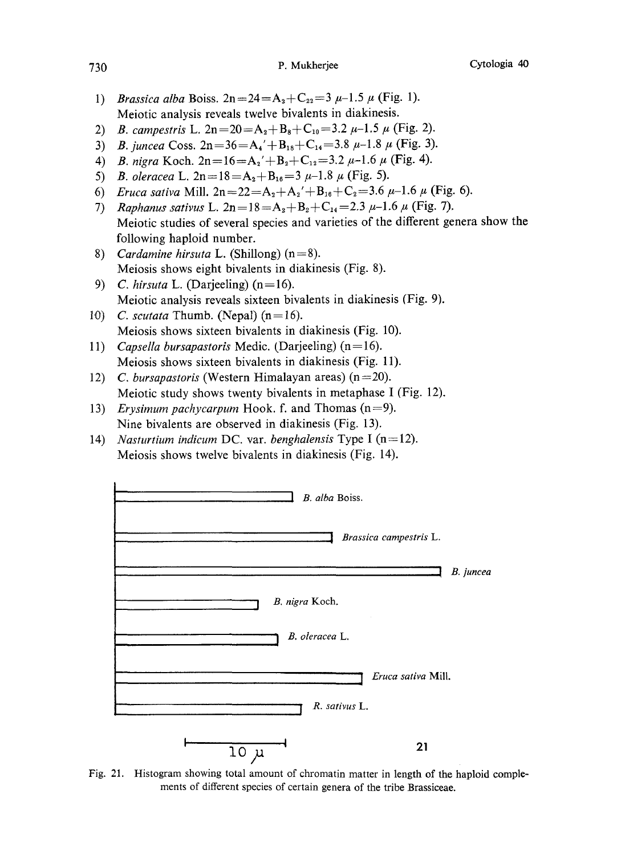- 1) Brassica alba Boiss.  $2n=24=A_2+C_{22}=3\mu-1.5\mu$  (Fig. 1). Meiotic analysis reveals twelve bivalents in diakinesis.
- 2) B. campestris L.  $2n=20=A_2+B_8+C_{10}=3.2\mu-1.5\mu$  (Fig. 2).
- 3) B. juncea Coss.  $2n=36=A_4'+B_{18}+C_{14}=3.8\mu-1.8\mu$  (Fig. 3).
- 4) B. nigra Koch.  $2n=16=A_2'+B_2+C_{12}=3.2\mu-1.6\mu$  (Fig. 4).
- 5) B. oleracea L.  $2n=18=A_2+B_{16}=3 \mu-1.8 \mu$  (Fig. 5).
- 6) Eruca sativa Mill.  $2n=22=A_2+A_2'+B_{16}+C_2=3.6 \mu-1.6 \mu$  (Fig. 6).
- 7) Raphanus sativus L.  $2n=18=A_2+B_2+C_{14}=2.3\mu-1.6\mu$  (Fig. 7). Meiotic studies of several species and varieties of the different genera show the following haploid number.
- 8) Cardamine hirsuta L. (Shillong)  $(n=8)$ . Meiosis shows eight bivalents in diakinesis (Fig. 8).
- 9) C. hirsuta L. (Darjeeling) (n=16). Meiotic analysis reveals sixteen bivalents in diakinesis (Fig. 9).
- 10) C. scutata Thumb. (Nepal)  $(n=16)$ . Meiosis shows sixteen bivalents in diakinesis (Fig. 10).
- 11) Capsella bursapastoris Medic. (Darjeeling)  $(n=16)$ . Meiosis shows sixteen bivalents in diakinesis (Fig. 11).
- 12) C. bursapastoris (Western Himalayan areas)  $(n=20)$ . Meiotic study shows twenty bivalents in metaphase I (Fig. 12).
- 13) Erysimum pachycarpum Hook. f. and Thomas  $(n=9)$ . Nine bivalents are observed in diakinesis (Fig. 13).
- 14) Nasturtium indicum DC. var. benghalensis Type I (n=12). Meiosis shows twelve bivalents in diakinesis (Fig. 14).



Fig. 21. Histogram showing total amount of chromatin matter in length of the haploid comple ments of different species of certain genera of the tribe Brassiceae.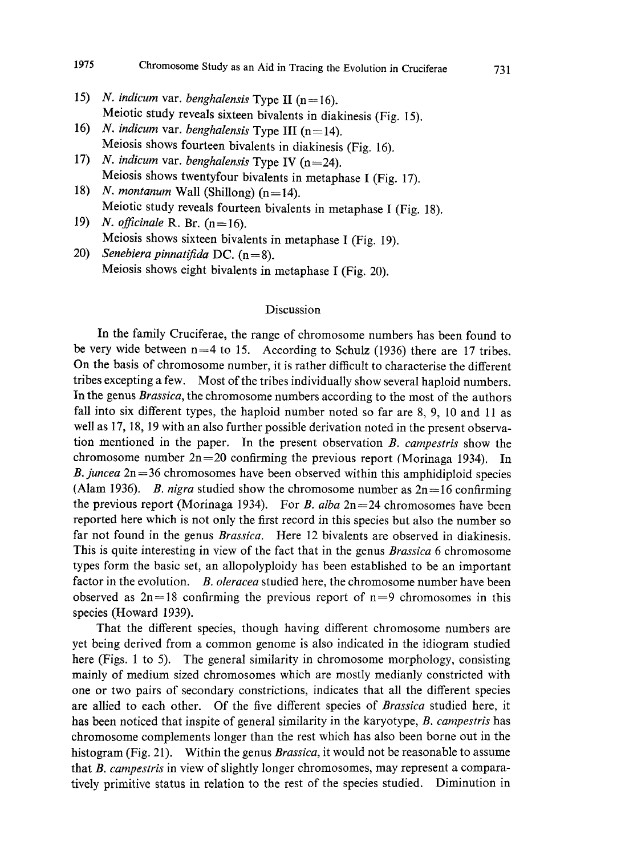- 15) N. indicum var. benghalensis Type II  $(n=16)$ . Meiotic study reveals sixteen bivalents in diakinesis (Fig. 15).
- 16) N. indicum var. benghalensis Type III (n=14). Meiosis shows fourteen bivalents in diakinesis (Fig. 16).
- 17) N. indicum var. benghalensis Type IV (n=24). Meiosis shows twentyfour bivalents in metaphase I (Fig. 17).
- 18) N. montanum Wall (Shillong) (n=14). Meiotic study reveals fourteen bivalents in metaphase I (Fig. 18).
- 19) N. officinale R. Br.  $(n=16)$ . Meiosis shows sixteen bivalents in metaphase I (Fig. 19).
- 20) Senebiera pinnatifida DC.  $(n=8)$ . Meiosis shows eight bivalents in metaphase I (Fig. 20).

## Discussion

In the family Cruciferae, the range of chromosome numbers has been found to be very wide between  $n=4$  to 15. According to Schulz (1936) there are 17 tribes. On the basis of chromosome number, it is rather difficult to characterise the different tribes excepting a few. Most of the tribes individually show several haploid numbers. In the genus Brassica, the chromosome numbers according to the most of the authors fall into six different types, the haploid number noted so far are 8, 9, 10 and 11 as well as 17, 18, 19 with an also further possible derivation noted in the present observa tion mentioned in the paper. In the present observation B. campestris show the chromosome number  $2n=20$  confirming the previous report (Morinaga 1934). In B. juncea  $2n=36$  chromosomes have been observed within this amphidiploid species (Alam 1936). B. nigra studied show the chromosome number as  $2n=16$  confirming the previous report (Morinaga 1934). For *B. alba*  $2n=24$  chromosomes have been reported here which is not only the first record in this species but also the number so far not found in the genus Brassica. Here 12 bivalents are observed in diakinesis. This is quite interesting in view of the fact that in the genus *Brassica* 6 chromosome types form the basic set, an allopolyploidy has been established to be an important factor in the evolution. B. oleracea studied here, the chromosome number have been observed as  $2n=18$  confirming the previous report of  $n=9$  chromosomes in this species (Howard 1939).

That the different species, though having different chromosome numbers are yet being derived from a common genome is also indicated in the idiogram studied here (Figs. 1 to 5). The general similarity in chromosome morphology, consisting mainly of medium sized chromosomes which are mostly medianly constricted with one or two pairs of secondary constrictions, indicates that all the different species are allied to each other. Of the five different species of Brassica studied here, it has been noticed that inspite of general similarity in the karyotype, B. campestris has chromosome complements longer than the rest which has also been borne out in the histogram (Fig. 21). Within the genus *Brassica*, it would not be reasonable to assume that B. campestris in view of slightly longer chromosomes, may represent a comparatively primitive status in relation to the rest of the species studied. Diminution in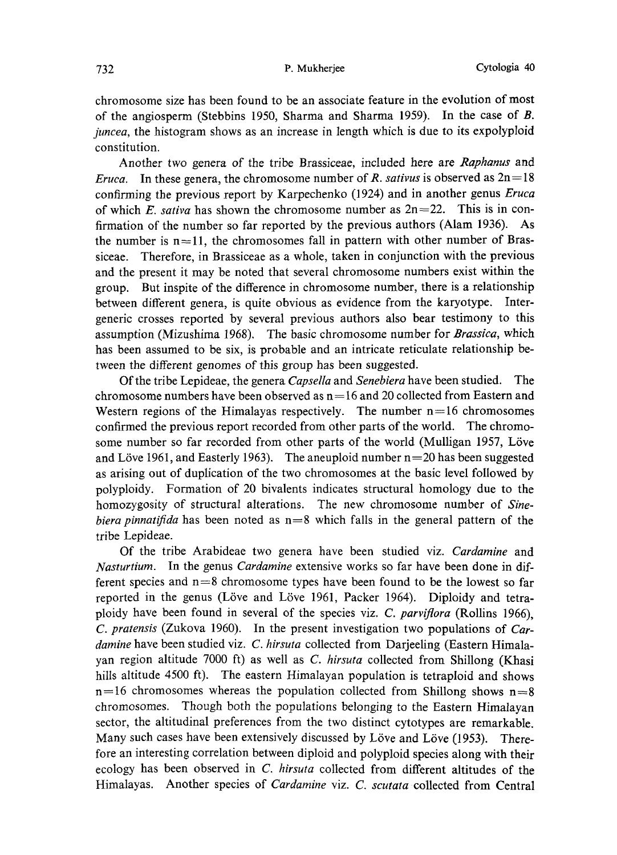chromosome size has been found to be an associate feature in the evolution of most of the angiosperm (Stebbins 1950, Sharma and Sharma 1959). In the case of B. juncea, the histogram shows as an increase in length which is due to its expolyploid constitution.

Another two genera of the tribe Brassiceae, included here are Raphanus and *Eruca.* In these genera, the chromosome number of R. sativus is observed as  $2n=18$ confirming the previous report by Karpechenko (1924) and in another genus Eruca of which E. sativa has shown the chromosome number as  $2n=22$ . This is in confirmation of the number so far reported by the previous authors (Alam 1936). As the number is  $n=11$ , the chromosomes fall in pattern with other number of Brassiceae. Therefore, in Brassiceae as a whole, taken in conjunction with the previous and the present it may be noted that several chromosome numbers exist within the group. But inspite of the difference in chromosome number, there is a relationship between different genera, is quite obvious as evidence from the karyotype. Inter generic crosses reported by several previous authors also bear testimony to this assumption (Mizushima 1968). The basic chromosome number for Brassica, which has been assumed to be six, is probable and an intricate reticulate relationship be tween the different genomes of this group has been suggested.

Of the tribe Lepideae, the genera Capsella and Senebiera have been studied. The chromosome numbers have been observed as  $n=16$  and 20 collected from Eastern and Western regions of the Himalayas respectively. The number  $n=16$  chromosomes confirmed the previous report recorded from other parts of the world. The chromo some number so far recorded from other parts of the world (Mulligan 1957, Löve and Löve 1961, and Easterly 1963). The aneuploid number  $n=20$  has been suggested as arising out of duplication of the two chromosomes at the basic level followed by polyploidy. Formation of 20 bivalents indicates structural homology due to the homozygosity of structural alterations. The new chromosome number of Sinebiera pinnatifida has been noted as  $n=8$  which falls in the general pattern of the tribe Lepideae.

Of the tribe Arabideae two genera have been studied viz. Cardamine and Nasturtium. In the genus *Cardamine* extensive works so far have been done in different species and  $n=8$  chromosome types have been found to be the lowest so far reported in the genus (Löve and Löve 1961, Packer 1964). Diploidy and tetraploidy have been found in several of the species viz. C. parviflora (Rollins 1966), C. pratensis (Zukova 1960). In the present investigation two populations of Car damine have been studied viz. C. hirsuta collected from Darjeeling (Eastern Himalayan region altitude 7000 ft) as well as C. hirsuta collected from Shillong (Khasi hills altitude 4500 ft). The eastern Himalayan population is tetraploid and shows  $n=16$  chromosomes whereas the population collected from Shillong shows  $n=8$ chromosomes. Though both the populations belonging to the Eastern Himalayan sector, the altitudinal preferences from the two distinct cytotypes are remarkable. Many such cases have been extensively discussed by Löve and Löve (1953). Therefore an interesting correlation between diploid and polyploid species along with their ecology has been observed in C. hirsuta collected from different altitudes of the Himalayas. Another species of *Cardamine viz. C. scutata* collected from Central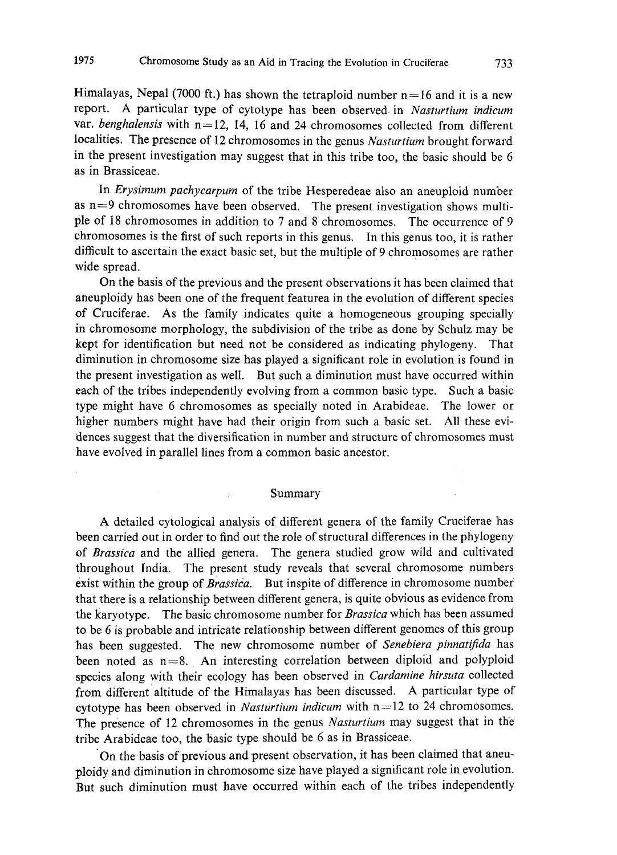Himalayas, Nepal (7000 ft.) has shown the tetraploid number  $n=16$  and it is a new report. A particular type of cytotype has been observed in Nasturtium indicum var. benghalensis with  $n=12$ , 14, 16 and 24 chromosomes collected from different localities. The presence of 12 chromosomes in the genus Nasturtium brought forward in the present investigation may suggest that in this tribe too, the basic should be 6 as in Brassiceae.

In Erysimum pachycarpum of the tribe Hesperedeae also an aneuploid number as  $n=9$  chromosomes have been observed. The present investigation shows multiple of 18 chromosomes in addition to 7 and 8 chromosomes. The occurrence of 9 chromosomes is the first of such reports in this genus. In this genus too, it is rather difficult to ascertain the exact basic set, but the multiple of 9 chromosomes are rather wide spread.

On the basis of the previous and the present observations it has been claimed that aneuploidy has been one of the frequent featurea in the evolution of different species of Cruciferae. As the family indicates quite a homogeneous grouping specially in chromosome morphology, the subdivision of the tribe as done by Schulz may be kept for identification but need not be considered as indicating phylogeny. That diminution in chromosome size has played a significant role in evolution is found in the present investigation as well. But such a diminution must have occurred within each of the tribes independently evolving from a common basic type. Such a basic type might have 6 chromosomes as specially noted in Arabideae. The lower or higher numbers might have had their origin from such a basic set. All these evi dences suggest that the diversification in number and structure of chromosomes must have evolved in parallel lines from a common basic ancestor.

### Summary

A detailed cytological analysis of different genera of the family Cruciferae has been carried out in order to find out the role of structural differences in the phylogeny of Brassica and the allied genera. The genera studied grow wild and cultivated throughout India. The present study reveals that several chromosome numbers exist within the group of Brassica. But inspite of difference in chromosome number that there is a relationship between different genera, is quite obvious as evidence from the karyotype. The basic chromosome number for Brassica which has been assumed to be 6 is probable and intricate relationship between different genomes of this group has been suggested. The new chromosome number of Senebiera pinnatifida has been noted as  $n=8$ . An interesting correlation between diploid and polyploid species along with their ecology has been observed in Cardamine hirsuta collected from different altitude of the Himalayas has been discussed. A particular type of cytotype has been observed in *Nasturtium indicum* with  $n=12$  to 24 chromosomes. The presence of 12 chromosomes in the genus Nasturtium may suggest that in the tribe Arabideae too, the basic type should be 6 as in Brassiceae.

On the basis of previous and present observation, it has been claimed that aneu ploidy and diminution in chromosome size have played a significant role in evolution. But such diminution must have occurred within each of the tribes independently